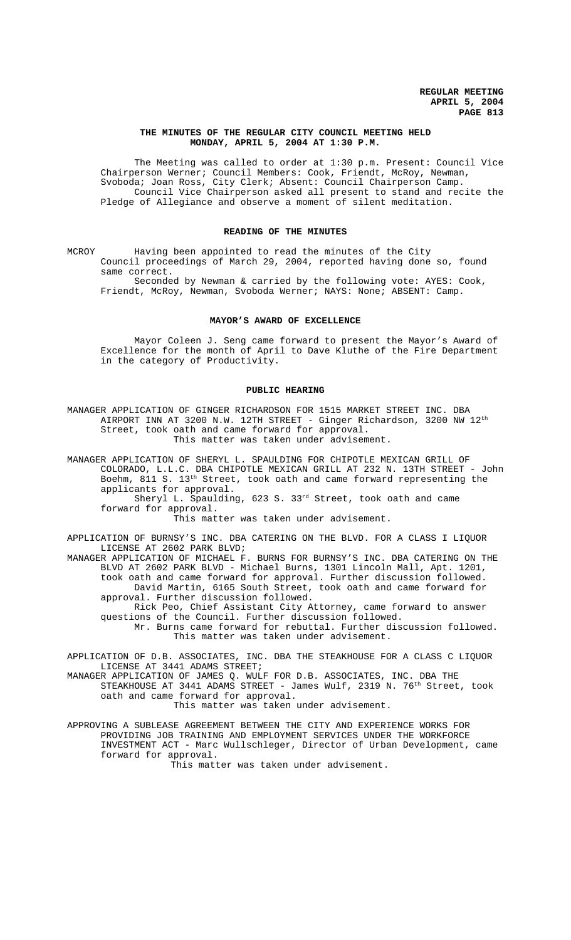## **THE MINUTES OF THE REGULAR CITY COUNCIL MEETING HELD MONDAY, APRIL 5, 2004 AT 1:30 P.M.**

The Meeting was called to order at 1:30 p.m. Present: Council Vice Chairperson Werner; Council Members: Cook, Friendt, McRoy, Newman, Svoboda; Joan Ross, City Clerk; Absent: Council Chairperson Camp. Council Vice Chairperson asked all present to stand and recite the Pledge of Allegiance and observe a moment of silent meditation.

## **READING OF THE MINUTES**

MCROY Having been appointed to read the minutes of the City Council proceedings of March 29, 2004, reported having done so, found same correct.

Seconded by Newman & carried by the following vote: AYES: Cook, Friendt, McRoy, Newman, Svoboda Werner; NAYS: None; ABSENT: Camp.

## **MAYOR'S AWARD OF EXCELLENCE**

Mayor Coleen J. Seng came forward to present the Mayor's Award of Excellence for the month of April to Dave Kluthe of the Fire Department in the category of Productivity.

#### **PUBLIC HEARING**

MANAGER APPLICATION OF GINGER RICHARDSON FOR 1515 MARKET STREET INC. DBA AIRPORT INN AT 3200 N.W. 12TH STREET - Ginger Richardson, 3200 NW 12th Street, took oath and came forward for approval. This matter was taken under advisement.

MANAGER APPLICATION OF SHERYL L. SPAULDING FOR CHIPOTLE MEXICAN GRILL OF COLORADO, L.L.C. DBA CHIPOTLE MEXICAN GRILL AT 232 N. 13TH STREET - John Boehm, 811 S. 13<sup>th</sup> Street, took oath and came forward representing the applicants for approval.

Sheryl L. Spaulding, 623 S. 33rd Street, took oath and came forward for approval.

This matter was taken under advisement.

APPLICATION OF BURNSY'S INC. DBA CATERING ON THE BLVD. FOR A CLASS I LIQUOR LICENSE AT 2602 PARK BLVD;

MANAGER APPLICATION OF MICHAEL F. BURNS FOR BURNSY'S INC. DBA CATERING ON THE BLVD AT 2602 PARK BLVD - Michael Burns, 1301 Lincoln Mall, Apt. 1201, took oath and came forward for approval. Further discussion followed. David Martin, 6165 South Street, took oath and came forward for approval. Further discussion followed.

Rick Peo, Chief Assistant City Attorney, came forward to answer questions of the Council. Further discussion followed.

Mr. Burns came forward for rebuttal. Further discussion followed. This matter was taken under advisement.

APPLICATION OF D.B. ASSOCIATES, INC. DBA THE STEAKHOUSE FOR A CLASS C LIQUOR LICENSE AT 3441 ADAMS STREET;

MANAGER APPLICATION OF JAMES Q. WULF FOR D.B. ASSOCIATES, INC. DBA THE STEAKHOUSE AT 3441 ADAMS STREET - James Wulf, 2319 N. 76<sup>th</sup> Street, took oath and came forward for approval.

This matter was taken under advisement.

APPROVING A SUBLEASE AGREEMENT BETWEEN THE CITY AND EXPERIENCE WORKS FOR PROVIDING JOB TRAINING AND EMPLOYMENT SERVICES UNDER THE WORKFORCE INVESTMENT ACT - Marc Wullschleger, Director of Urban Development, came forward for approval. This matter was taken under advisement.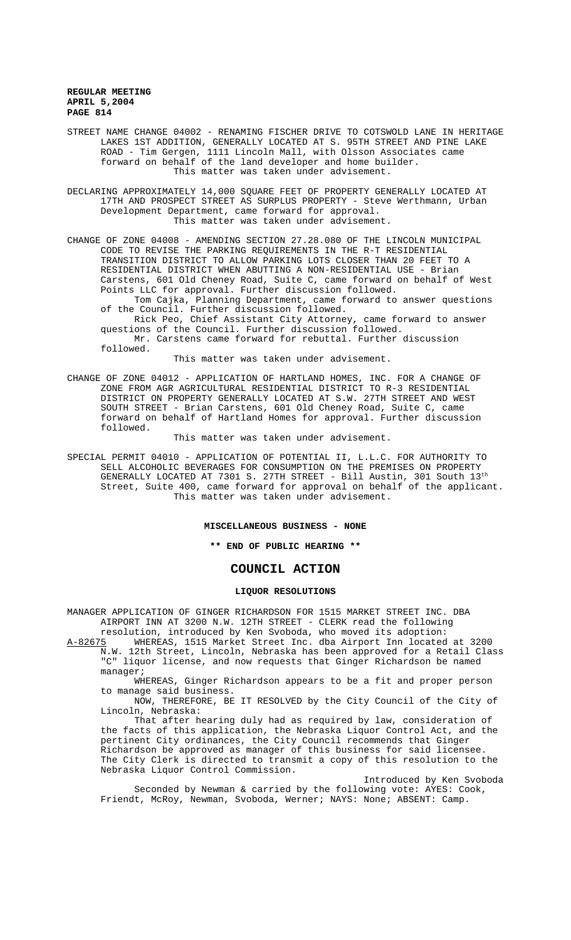STREET NAME CHANGE 04002 - RENAMING FISCHER DRIVE TO COTSWOLD LANE IN HERITAGE LAKES 1ST ADDITION, GENERALLY LOCATED AT S. 95TH STREET AND PINE LAKE ROAD - Tim Gergen, 1111 Lincoln Mall, with Olsson Associates came forward on behalf of the land developer and home builder. This matter was taken under advisement.

DECLARING APPROXIMATELY 14,000 SQUARE FEET OF PROPERTY GENERALLY LOCATED AT 17TH AND PROSPECT STREET AS SURPLUS PROPERTY - Steve Werthmann, Urban Development Department, came forward for approval. This matter was taken under advisement.

CHANGE OF ZONE 04008 - AMENDING SECTION 27.28.080 OF THE LINCOLN MUNICIPAL CODE TO REVISE THE PARKING REQUIREMENTS IN THE R-T RESIDENTIAL TRANSITION DISTRICT TO ALLOW PARKING LOTS CLOSER THAN 20 FEET TO A RESIDENTIAL DISTRICT WHEN ABUTTING A NON-RESIDENTIAL USE - Brian Carstens, 601 Old Cheney Road, Suite C, came forward on behalf of West Points LLC for approval. Further discussion followed.

Tom Cajka, Planning Department, came forward to answer questions of the Council. Further discussion followed.

Rick Peo, Chief Assistant City Attorney, came forward to answer questions of the Council. Further discussion followed. Mr. Carstens came forward for rebuttal. Further discussion

followed.

This matter was taken under advisement.

CHANGE OF ZONE 04012 - APPLICATION OF HARTLAND HOMES, INC. FOR A CHANGE OF ZONE FROM AGR AGRICULTURAL RESIDENTIAL DISTRICT TO R-3 RESIDENTIAL DISTRICT ON PROPERTY GENERALLY LOCATED AT S.W. 27TH STREET AND WEST SOUTH STREET - Brian Carstens, 601 Old Cheney Road, Suite C, came forward on behalf of Hartland Homes for approval. Further discussion followed.

This matter was taken under advisement.

SPECIAL PERMIT 04010 - APPLICATION OF POTENTIAL II, L.L.C. FOR AUTHORITY TO SELL ALCOHOLIC BEVERAGES FOR CONSUMPTION ON THE PREMISES ON PROPERTY GENERALLY LOCATED AT 7301 S. 27TH STREET - Bill Austin, 301 South 13th Street, Suite 400, came forward for approval on behalf of the applicant. This matter was taken under advisement.

#### **MISCELLANEOUS BUSINESS - NONE**

**\*\* END OF PUBLIC HEARING \*\***

# **COUNCIL ACTION**

#### **LIQUOR RESOLUTIONS**

MANAGER APPLICATION OF GINGER RICHARDSON FOR 1515 MARKET STREET INC. DBA AIRPORT INN AT 3200 N.W. 12TH STREET - CLERK read the following

resolution, introduced by Ken Svoboda, who moved its adoption: A-82675 WHEREAS, 1515 Market Street Inc. dba Airport Inn located at 3200<br>N.W. 12th Street, Lincoln, Nebraska has been approved for a Retail Cla 12th Street, Lincoln, Nebraska has been approved for a Retail Class "C" liquor license, and now requests that Ginger Richardson be named

manager; WHEREAS, Ginger Richardson appears to be a fit and proper person to manage said business.

NOW, THEREFORE, BE IT RESOLVED by the City Council of the City of Lincoln, Nebraska:

That after hearing duly had as required by law, consideration of the facts of this application, the Nebraska Liquor Control Act, and the pertinent City ordinances, the City Council recommends that Ginger Richardson be approved as manager of this business for said licensee. The City Clerk is directed to transmit a copy of this resolution to the Nebraska Liquor Control Commission.

Introduced by Ken Svoboda Seconded by Newman & carried by the following vote: AYES: Cook, Friendt, McRoy, Newman, Svoboda, Werner; NAYS: None; ABSENT: Camp.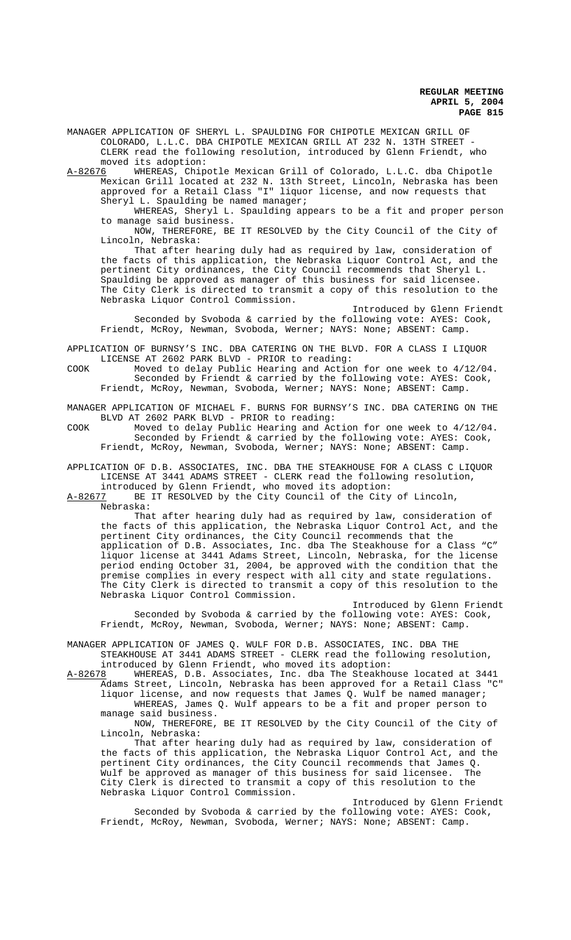MANAGER APPLICATION OF SHERYL L. SPAULDING FOR CHIPOTLE MEXICAN GRILL OF COLORADO, L.L.C. DBA CHIPOTLE MEXICAN GRILL AT 232 N. 13TH STREET - CLERK read the following resolution, introduced by Glenn Friendt, who moved its adoption:

A-82676 WHEREAS, Chipotle Mexican Grill of Colorado, L.L.C. dba Chipotle Mexican Grill located at 232 N. 13th Street, Lincoln, Nebraska has been approved for a Retail Class "I" liquor license, and now requests that Sheryl L. Spaulding be named manager;

WHEREAS, Sheryl L. Spaulding appears to be a fit and proper person to manage said business.

NOW, THEREFORE, BE IT RESOLVED by the City Council of the City of Lincoln, Nebraska:

That after hearing duly had as required by law, consideration of the facts of this application, the Nebraska Liquor Control Act, and the pertinent City ordinances, the City Council recommends that Sheryl L. Spaulding be approved as manager of this business for said licensee. The City Clerk is directed to transmit a copy of this resolution to the Nebraska Liquor Control Commission.

Introduced by Glenn Friendt Seconded by Svoboda & carried by the following vote: AYES: Cook, Friendt, McRoy, Newman, Svoboda, Werner; NAYS: None; ABSENT: Camp.

APPLICATION OF BURNSY'S INC. DBA CATERING ON THE BLVD. FOR A CLASS I LIQUOR LICENSE AT 2602 PARK BLVD - PRIOR to reading:

COOK Moved to delay Public Hearing and Action for one week to 4/12/04. Seconded by Friendt & carried by the following vote: AYES: Cook, Friendt, McRoy, Newman, Svoboda, Werner; NAYS: None; ABSENT: Camp.

MANAGER APPLICATION OF MICHAEL F. BURNS FOR BURNSY'S INC. DBA CATERING ON THE BLVD AT 2602 PARK BLVD - PRIOR to reading:

COOK Moved to delay Public Hearing and Action for one week to 4/12/04. Seconded by Friendt & carried by the following vote: AYES: Cook, Friendt, McRoy, Newman, Svoboda, Werner; NAYS: None; ABSENT: Camp.

APPLICATION OF D.B. ASSOCIATES, INC. DBA THE STEAKHOUSE FOR A CLASS C LIQUOR LICENSE AT 3441 ADAMS STREET - CLERK read the following resolution, introduced by Glenn Friendt, who moved its adoption:

A-82677 BE IT RESOLVED by the City Council of the City of Lincoln,

Nebraska:

That after hearing duly had as required by law, consideration of the facts of this application, the Nebraska Liquor Control Act, and the pertinent City ordinances, the City Council recommends that the application of D.B. Associates, Inc. dba The Steakhouse for a Class "C" liquor license at 3441 Adams Street, Lincoln, Nebraska, for the license period ending October 31, 2004, be approved with the condition that the premise complies in every respect with all city and state regulations. The City Clerk is directed to transmit a copy of this resolution to the Nebraska Liquor Control Commission.

Introduced by Glenn Friendt Seconded by Svoboda & carried by the following vote: AYES: Cook, Friendt, McRoy, Newman, Svoboda, Werner; NAYS: None; ABSENT: Camp.

MANAGER APPLICATION OF JAMES Q. WULF FOR D.B. ASSOCIATES, INC. DBA THE STEAKHOUSE AT 3441 ADAMS STREET - CLERK read the following resolution,

introduced by Glenn Friendt, who moved its adoption:<br>A-82678 WHEREAS, D.B. Associates, Inc. dba The Steakho WHEREAS, D.B. Associates, Inc. dba The Steakhouse located at 3441 Adams Street, Lincoln, Nebraska has been approved for a Retail Class "C" liquor license, and now requests that James Q. Wulf be named manager; WHEREAS, James Q. Wulf appears to be a fit and proper person to manage said business.

NOW, THEREFORE, BE IT RESOLVED by the City Council of the City of Lincoln, Nebraska:

That after hearing duly had as required by law, consideration of the facts of this application, the Nebraska Liquor Control Act, and the pertinent City ordinances, the City Council recommends that James Q.<br>Wulf he approved as manager of this business for said licensee. The Wulf be approved as manager of this business for said licensee. City Clerk is directed to transmit a copy of this resolution to the Nebraska Liquor Control Commission.

Introduced by Glenn Friendt Seconded by Svoboda & carried by the following vote: AYES: Cook, Friendt, McRoy, Newman, Svoboda, Werner; NAYS: None; ABSENT: Camp.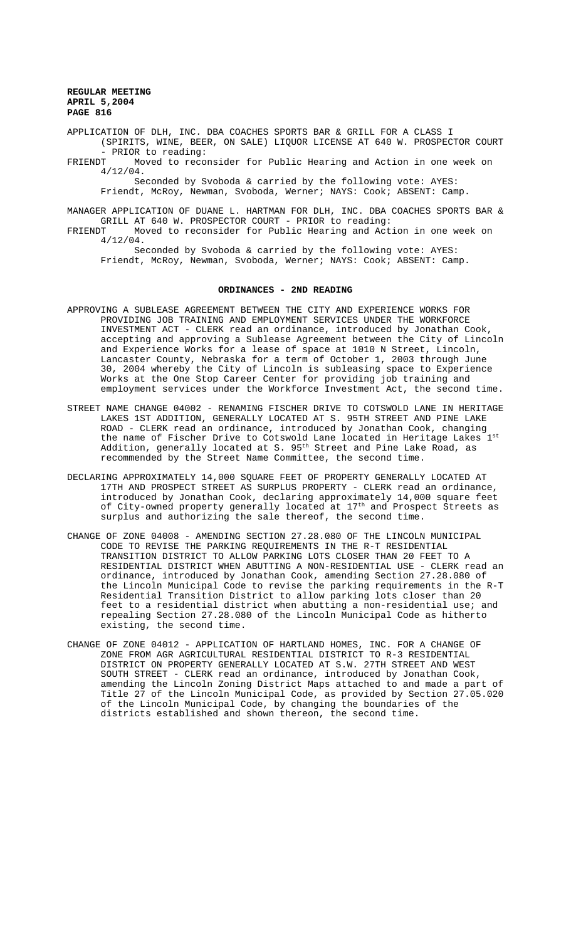APPLICATION OF DLH, INC. DBA COACHES SPORTS BAR & GRILL FOR A CLASS I (SPIRITS, WINE, BEER, ON SALE) LIQUOR LICENSE AT 640 W. PROSPECTOR COURT - PRIOR to reading:

FRIENDT Moved to reconsider for Public Hearing and Action in one week on 4/12/04.

Seconded by Svoboda & carried by the following vote: AYES: Friendt, McRoy, Newman, Svoboda, Werner; NAYS: Cook; ABSENT: Camp.

MANAGER APPLICATION OF DUANE L. HARTMAN FOR DLH, INC. DBA COACHES SPORTS BAR & GRILL AT 640 W. PROSPECTOR COURT - PRIOR to reading:<br>FRIENDT Moved to reconsider for Public Hearing and Act Moved to reconsider for Public Hearing and Action in one week on

4/12/04.

Seconded by Svoboda & carried by the following vote: AYES: Friendt, McRoy, Newman, Svoboda, Werner; NAYS: Cook; ABSENT: Camp.

#### **ORDINANCES - 2ND READING**

- APPROVING A SUBLEASE AGREEMENT BETWEEN THE CITY AND EXPERIENCE WORKS FOR PROVIDING JOB TRAINING AND EMPLOYMENT SERVICES UNDER THE WORKFORCE INVESTMENT ACT - CLERK read an ordinance, introduced by Jonathan Cook, accepting and approving a Sublease Agreement between the City of Lincoln and Experience Works for a lease of space at 1010 N Street, Lincoln, Lancaster County, Nebraska for a term of October 1, 2003 through June 30, 2004 whereby the City of Lincoln is subleasing space to Experience Works at the One Stop Career Center for providing job training and employment services under the Workforce Investment Act, the second time.
- STREET NAME CHANGE 04002 RENAMING FISCHER DRIVE TO COTSWOLD LANE IN HERITAGE LAKES 1ST ADDITION, GENERALLY LOCATED AT S. 95TH STREET AND PINE LAKE ROAD - CLERK read an ordinance, introduced by Jonathan Cook, changing the name of Fischer Drive to Cotswold Lane located in Heritage Lakes 1st Addition, generally located at S. 95<sup>th</sup> Street and Pine Lake Road, as recommended by the Street Name Committee, the second time.
- DECLARING APPROXIMATELY 14,000 SQUARE FEET OF PROPERTY GENERALLY LOCATED AT 17TH AND PROSPECT STREET AS SURPLUS PROPERTY - CLERK read an ordinance, introduced by Jonathan Cook, declaring approximately 14,000 square feet of City-owned property generally located at 17<sup>th</sup> and Prospect Streets as surplus and authorizing the sale thereof, the second time.
- CHANGE OF ZONE 04008 AMENDING SECTION 27.28.080 OF THE LINCOLN MUNICIPAL CODE TO REVISE THE PARKING REQUIREMENTS IN THE R-T RESIDENTIAL TRANSITION DISTRICT TO ALLOW PARKING LOTS CLOSER THAN 20 FEET TO A RESIDENTIAL DISTRICT WHEN ABUTTING A NON-RESIDENTIAL USE - CLERK read an ordinance, introduced by Jonathan Cook, amending Section 27.28.080 of the Lincoln Municipal Code to revise the parking requirements in the R-T Residential Transition District to allow parking lots closer than 20 feet to a residential district when abutting a non-residential use; and repealing Section 27.28.080 of the Lincoln Municipal Code as hitherto existing, the second time.
- CHANGE OF ZONE 04012 APPLICATION OF HARTLAND HOMES, INC. FOR A CHANGE OF ZONE FROM AGR AGRICULTURAL RESIDENTIAL DISTRICT TO R-3 RESIDENTIAL DISTRICT ON PROPERTY GENERALLY LOCATED AT S.W. 27TH STREET AND WEST SOUTH STREET - CLERK read an ordinance, introduced by Jonathan Cook, amending the Lincoln Zoning District Maps attached to and made a part of Title 27 of the Lincoln Municipal Code, as provided by Section 27.05.020 of the Lincoln Municipal Code, by changing the boundaries of the districts established and shown thereon, the second time.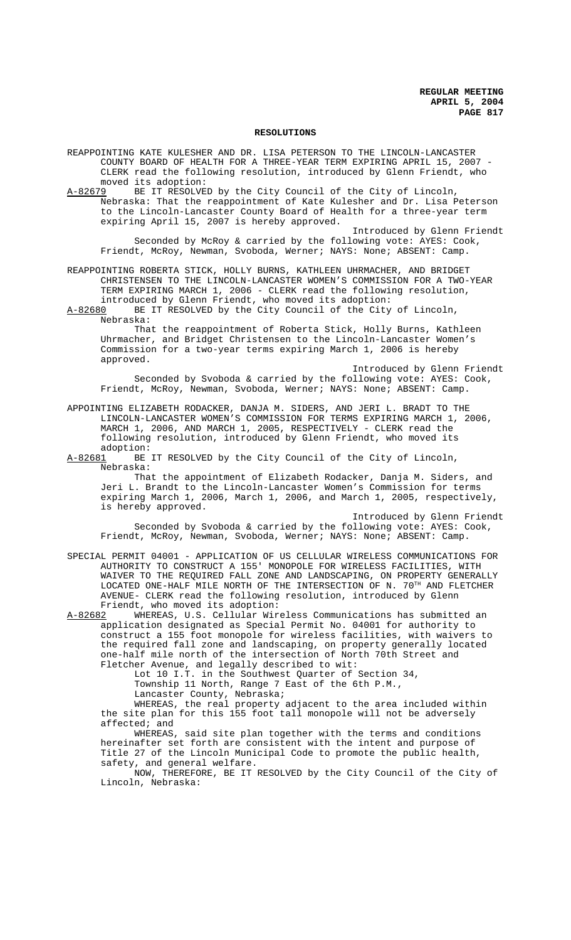#### **RESOLUTIONS**

REAPPOINTING KATE KULESHER AND DR. LISA PETERSON TO THE LINCOLN-LANCASTER COUNTY BOARD OF HEALTH FOR A THREE-YEAR TERM EXPIRING APRIL 15, 2007 - CLERK read the following resolution, introduced by Glenn Friendt, who moved its adoption:

A-82679 BE IT RESOLVED by the City Council of the City of Lincoln, Nebraska: That the reappointment of Kate Kulesher and Dr. Lisa Peterson to the Lincoln-Lancaster County Board of Health for a three-year term expiring April 15, 2007 is hereby approved.

Introduced by Glenn Friendt Seconded by McRoy & carried by the following vote: AYES: Cook, Friendt, McRoy, Newman, Svoboda, Werner; NAYS: None; ABSENT: Camp.

REAPPOINTING ROBERTA STICK, HOLLY BURNS, KATHLEEN UHRMACHER, AND BRIDGET CHRISTENSEN TO THE LINCOLN-LANCASTER WOMEN'S COMMISSION FOR A TWO-YEAR TERM EXPIRING MARCH 1, 2006 - CLERK read the following resolution, introduced by Glenn Friendt, who moved its adoption:

A-82680 BE IT RESOLVED by the City Council of the City of Lincoln, Nebraska:

That the reappointment of Roberta Stick, Holly Burns, Kathleen Uhrmacher, and Bridget Christensen to the Lincoln-Lancaster Women's Commission for a two-year terms expiring March 1, 2006 is hereby approved.

Introduced by Glenn Friendt Seconded by Svoboda & carried by the following vote: AYES: Cook, Friendt, McRoy, Newman, Svoboda, Werner; NAYS: None; ABSENT: Camp.

APPOINTING ELIZABETH RODACKER, DANJA M. SIDERS, AND JERI L. BRADT TO THE LINCOLN-LANCASTER WOMEN'S COMMISSION FOR TERMS EXPIRING MARCH 1, 2006, MARCH 1, 2006, AND MARCH 1, 2005, RESPECTIVELY - CLERK read the following resolution, introduced by Glenn Friendt, who moved its adoption:<br>A-82681 BE

BE IT RESOLVED by the City Council of the City of Lincoln, Nebraska:

That the appointment of Elizabeth Rodacker, Danja M. Siders, and Jeri L. Brandt to the Lincoln-Lancaster Women's Commission for terms expiring March 1, 2006, March 1, 2006, and March 1, 2005, respectively, is hereby approved.

Introduced by Glenn Friendt Seconded by Svoboda & carried by the following vote: AYES: Cook, Friendt, McRoy, Newman, Svoboda, Werner; NAYS: None; ABSENT: Camp.

SPECIAL PERMIT 04001 - APPLICATION OF US CELLULAR WIRELESS COMMUNICATIONS FOR AUTHORITY TO CONSTRUCT A 155' MONOPOLE FOR WIRELESS FACILITIES, WITH WAIVER TO THE REQUIRED FALL ZONE AND LANDSCAPING, ON PROPERTY GENERALLY LOCATED ONE-HALF MILE NORTH OF THE INTERSECTION OF N. 70<sup>TH</sup> AND FLETCHER AVENUE- CLERK read the following resolution, introduced by Glenn Friendt, who moved its adoption:<br>A-82682 WHEREAS, U.S. Cellular Wir

WHEREAS, U.S. Cellular Wireless Communications has submitted an application designated as Special Permit No. 04001 for authority to construct a 155 foot monopole for wireless facilities, with waivers to the required fall zone and landscaping, on property generally located one-half mile north of the intersection of North 70th Street and Fletcher Avenue, and legally described to wit:

Lot 10 I.T. in the Southwest Quarter of Section 34,

Township 11 North, Range 7 East of the 6th P.M.,

Lancaster County, Nebraska;

WHEREAS, the real property adjacent to the area included within the site plan for this 155 foot tall monopole will not be adversely affected; and

WHEREAS, said site plan together with the terms and conditions hereinafter set forth are consistent with the intent and purpose of Title 27 of the Lincoln Municipal Code to promote the public health, safety, and general welfare.

NOW, THEREFORE, BE IT RESOLVED by the City Council of the City of Lincoln, Nebraska: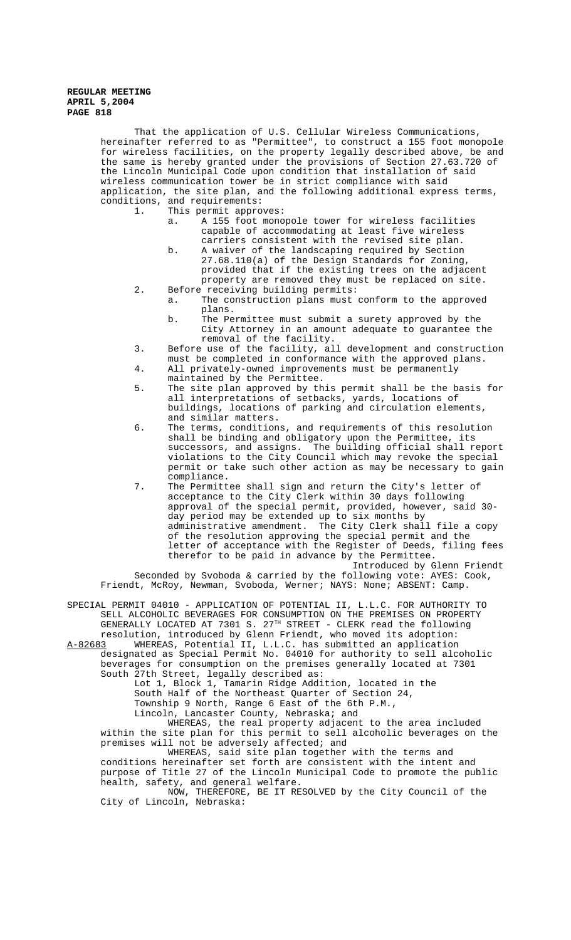That the application of U.S. Cellular Wireless Communications, hereinafter referred to as "Permittee", to construct a 155 foot monopole for wireless facilities, on the property legally described above, be and the same is hereby granted under the provisions of Section 27.63.720 of the Lincoln Municipal Code upon condition that installation of said wireless communication tower be in strict compliance with said application, the site plan, and the following additional express terms, conditions, and requirements: 1. This permit approves:

- a. A 155 foot monopole tower for wireless facilities capable of accommodating at least five wireless carriers consistent with the revised site plan.
- b. A waiver of the landscaping required by Section 27.68.110(a) of the Design Standards for Zoning, provided that if the existing trees on the adjacent property are removed they must be replaced on site.
- 2. Before receiving building permits: a. The construction plans must conform to the approved
	- plans. b. The Permittee must submit a surety approved by the City Attorney in an amount adequate to guarantee the removal of the facility.
- 3. Before use of the facility, all development and construction must be completed in conformance with the approved plans.
- 4. All privately-owned improvements must be permanently maintained by the Permittee.
- 5. The site plan approved by this permit shall be the basis for all interpretations of setbacks, yards, locations of buildings, locations of parking and circulation elements, and similar matters.
- 6. The terms, conditions, and requirements of this resolution shall be binding and obligatory upon the Permittee, its successors, and assigns. The building official shall report violations to the City Council which may revoke the special permit or take such other action as may be necessary to gain compliance.
- 7. The Permittee shall sign and return the City's letter of acceptance to the City Clerk within 30 days following approval of the special permit, provided, however, said 30 day period may be extended up to six months by administrative amendment. The City Clerk shall file a copy of the resolution approving the special permit and the letter of acceptance with the Register of Deeds, filing fees therefor to be paid in advance by the Permittee. Introduced by Glenn Friendt

Seconded by Svoboda & carried by the following vote: AYES: Cook, Friendt, McRoy, Newman, Svoboda, Werner; NAYS: None; ABSENT: Camp.

SPECIAL PERMIT 04010 - APPLICATION OF POTENTIAL II, L.L.C. FOR AUTHORITY TO SELL ALCOHOLIC BEVERAGES FOR CONSUMPTION ON THE PREMISES ON PROPERTY GENERALLY LOCATED AT 7301 S. 27<sup>TH</sup> STREET - CLERK read the following resolution, introduced by Glenn Friendt, who moved its adoption:

A-82683 WHEREAS, Potential II, L.L.C. has submitted an application designated as Special Permit No. 04010 for authority to sell alcoholic beverages for consumption on the premises generally located at 7301 South 27th Street, legally described as:

Lot 1, Block 1, Tamarin Ridge Addition, located in the

South Half of the Northeast Quarter of Section 24,

Township 9 North, Range 6 East of the 6th P.M.,

Lincoln, Lancaster County, Nebraska; and

WHEREAS, the real property adjacent to the area included within the site plan for this permit to sell alcoholic beverages on the premises will not be adversely affected; and

WHEREAS, said site plan together with the terms and conditions hereinafter set forth are consistent with the intent and purpose of Title 27 of the Lincoln Municipal Code to promote the public health, safety, and general welfare.

NOW, THEREFORE, BE IT RESOLVED by the City Council of the City of Lincoln, Nebraska: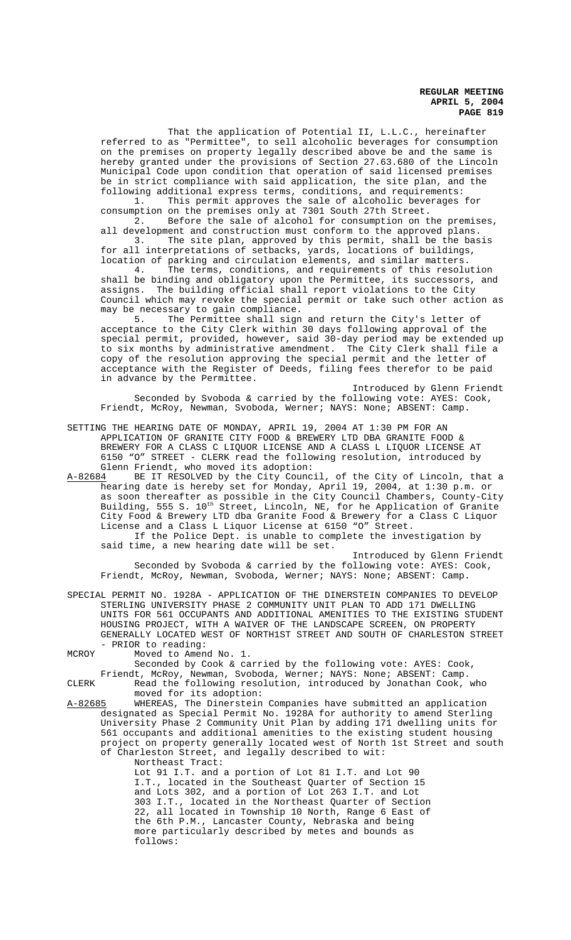That the application of Potential II, L.L.C., hereinafter referred to as "Permittee", to sell alcoholic beverages for consumption on the premises on property legally described above be and the same is hereby granted under the provisions of Section 27.63.680 of the Lincoln Municipal Code upon condition that operation of said licensed premises be in strict compliance with said application, the site plan, and the following additional express terms, conditions, and requirements:

1. This permit approves the sale of alcoholic beverages for consumption on the premises only at 7301 South 27th Street.

2. Before the sale of alcohol for consumption on the premises, all development and construction must conform to the approved plans. 3. The site plan, approved by this permit, shall be the basis for all interpretations of setbacks, yards, locations of buildings, location of parking and circulation elements, and similar matters.

4. The terms, conditions, and requirements of this resolution shall be binding and obligatory upon the Permittee, its successors, and assigns. The building official shall report violations to the City Council which may revoke the special permit or take such other action as may be necessary to gain compliance.<br>5. The Permittee shall sign

The Permittee shall sign and return the City's letter of acceptance to the City Clerk within 30 days following approval of the special permit, provided, however, said 30-day period may be extended up to six months by administrative amendment. The City Clerk shall file a copy of the resolution approving the special permit and the letter of acceptance with the Register of Deeds, filing fees therefor to be paid in advance by the Permittee.

Introduced by Glenn Friendt Seconded by Svoboda & carried by the following vote: AYES: Cook, Friendt, McRoy, Newman, Svoboda, Werner; NAYS: None; ABSENT: Camp.

SETTING THE HEARING DATE OF MONDAY, APRIL 19, 2004 AT 1:30 PM FOR AN APPLICATION OF GRANITE CITY FOOD & BREWERY LTD DBA GRANITE FOOD & BREWERY FOR A CLASS C LIQUOR LICENSE AND A CLASS L LIQUOR LICENSE AT 6150 "O" STREET - CLERK read the following resolution, introduced by Glenn Friendt, who moved its adoption:<br>A-82684 BE IT RESOLVED by the City Counc

A-82684 BE IT RESOLVED by the City Council, of the City of Lincoln, that a hearing date is hereby set for Monday, April 19, 2004, at 1:30 p.m. or as soon thereafter as possible in the City Council Chambers, County-City Building, 555 S.  $10^{\text{th}}$  Street, Lincoln, NE, for he Application of Granite City Food & Brewery LTD dba Granite Food & Brewery for a Class C Liquor License and a Class L Liquor License at 6150 "O" Street. If the Police Dept. is unable to complete the investigation by

said time, a new hearing date will be set. Introduced by Glenn Friendt

Seconded by Svoboda & carried by the following vote: AYES: Cook, Friendt, McRoy, Newman, Svoboda, Werner; NAYS: None; ABSENT: Camp.

SPECIAL PERMIT NO. 1928A - APPLICATION OF THE DINERSTEIN COMPANIES TO DEVELOP STERLING UNIVERSITY PHASE 2 COMMUNITY UNIT PLAN TO ADD 171 DWELLING UNITS FOR 561 OCCUPANTS AND ADDITIONAL AMENITIES TO THE EXISTING STUDENT HOUSING PROJECT, WITH A WAIVER OF THE LANDSCAPE SCREEN, ON PROPERTY GENERALLY LOCATED WEST OF NORTH1ST STREET AND SOUTH OF CHARLESTON STREET - PRIOR to reading:

MCROY Moved to Amend No. 1.

Seconded by Cook & carried by the following vote: AYES: Cook,

Friendt, McRoy, Newman, Svoboda, Werner; NAYS: None; ABSENT: Camp.

CLERK Read the following resolution, introduced by Jonathan Cook, who moved for its adoption:

A-82685 WHEREAS, The Dinerstein Companies have submitted an application designated as Special Permit No. 1928A for authority to amend Sterling University Phase 2 Community Unit Plan by adding 171 dwelling units for 561 occupants and additional amenities to the existing student housing project on property generally located west of North 1st Street and south of Charleston Street, and legally described to wit:

Northeast Tract:

Lot 91 I.T. and a portion of Lot 81 I.T. and Lot 90 I.T., located in the Southeast Quarter of Section 15 and Lots 302, and a portion of Lot 263 I.T. and Lot 303 I.T., located in the Northeast Quarter of Section 22, all located in Township 10 North, Range 6 East of the 6th P.M., Lancaster County, Nebraska and being more particularly described by metes and bounds as follows: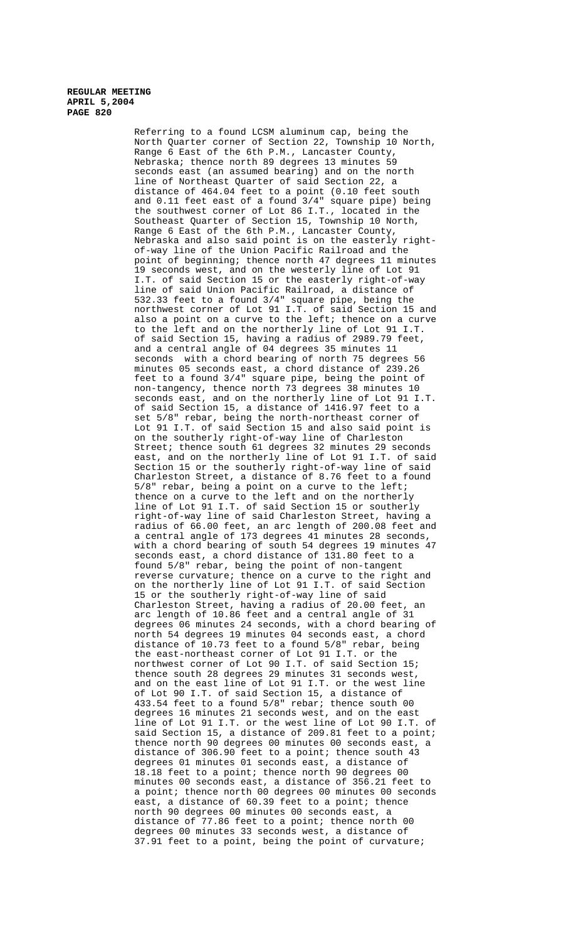Referring to a found LCSM aluminum cap, being the North Quarter corner of Section 22, Township 10 North, Range 6 East of the 6th P.M., Lancaster County, Nebraska; thence north 89 degrees 13 minutes 59 seconds east (an assumed bearing) and on the north line of Northeast Quarter of said Section 22, a distance of  $464.04$  feet to a point (0.10 feet south and 0.11 feet east of a found 3/4" square pipe) being the southwest corner of Lot 86 I.T., located in the Southeast Quarter of Section 15, Township 10 North, Range 6 East of the 6th P.M., Lancaster County, Nebraska and also said point is on the easterly rightof-way line of the Union Pacific Railroad and the point of beginning; thence north 47 degrees 11 minutes 19 seconds west, and on the westerly line of Lot 91 I.T. of said Section 15 or the easterly right-of-way line of said Union Pacific Railroad, a distance of 532.33 feet to a found 3/4" square pipe, being the northwest corner of Lot 91 I.T. of said Section 15 and also a point on a curve to the left; thence on a curve to the left and on the northerly line of Lot 91 I.T. of said Section 15, having a radius of 2989.79 feet, and a central angle of 04 degrees 35 minutes 11 seconds with a chord bearing of north 75 degrees 56 minutes 05 seconds east, a chord distance of 239.26 feet to a found 3/4" square pipe, being the point of non-tangency, thence north 73 degrees 38 minutes 10 seconds east, and on the northerly line of Lot 91 I.T. of said Section 15, a distance of 1416.97 feet to a set 5/8" rebar, being the north-northeast corner of Lot 91 I.T. of said Section 15 and also said point is on the southerly right-of-way line of Charleston Street; thence south 61 degrees 32 minutes 29 seconds east, and on the northerly line of Lot 91 I.T. of said Section 15 or the southerly right-of-way line of said Charleston Street, a distance of 8.76 feet to a found 5/8" rebar, being a point on a curve to the left; thence on a curve to the left and on the northerly line of Lot 91 I.T. of said Section 15 or southerly right-of-way line of said Charleston Street, having a radius of 66.00 feet, an arc length of 200.08 feet and a central angle of 173 degrees 41 minutes 28 seconds, with a chord bearing of south 54 degrees 19 minutes 47 seconds east, a chord distance of 131.80 feet to a found 5/8" rebar, being the point of non-tangent reverse curvature; thence on a curve to the right and on the northerly line of Lot 91 I.T. of said Section 15 or the southerly right-of-way line of said Charleston Street, having a radius of 20.00 feet, an arc length of 10.86 feet and a central angle of 31 degrees 06 minutes 24 seconds, with a chord bearing of north 54 degrees 19 minutes 04 seconds east, a chord distance of 10.73 feet to a found 5/8" rebar, being the east-northeast corner of Lot 91 I.T. or the northwest corner of Lot 90 I.T. of said Section 15; thence south 28 degrees 29 minutes 31 seconds west, and on the east line of Lot 91 I.T. or the west line of Lot 90 I.T. of said Section 15, a distance of 433.54 feet to a found 5/8" rebar; thence south 00 degrees 16 minutes 21 seconds west, and on the east line of Lot 91 I.T. or the west line of Lot 90 I.T. of said Section 15, a distance of 209.81 feet to a point; thence north 90 degrees 00 minutes 00 seconds east, a distance of 306.90 feet to a point; thence south 43 degrees 01 minutes 01 seconds east, a distance of 18.18 feet to a point; thence north 90 degrees 00 minutes 00 seconds east, a distance of 356.21 feet to a point; thence north 00 degrees 00 minutes 00 seconds east, a distance of 60.39 feet to a point; thence north 90 degrees 00 minutes 00 seconds east, a distance of 77.86 feet to a point; thence north 00 degrees 00 minutes 33 seconds west, a distance of 37.91 feet to a point, being the point of curvature;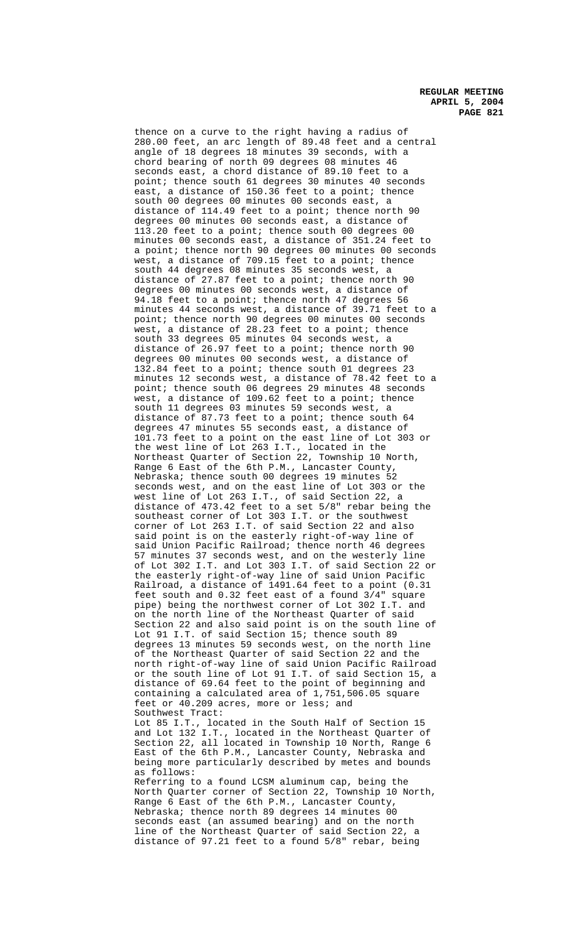thence on a curve to the right having a radius of 280.00 feet, an arc length of 89.48 feet and a central angle of 18 degrees 18 minutes 39 seconds, with a chord bearing of north 09 degrees 08 minutes 46 seconds east, a chord distance of 89.10 feet to a point; thence south 61 degrees 30 minutes 40 seconds east, a distance of 150.36 feet to a point; thence south 00 degrees 00 minutes 00 seconds east, a distance of 114.49 feet to a point; thence north 90 degrees 00 minutes 00 seconds east, a distance of 113.20 feet to a point; thence south 00 degrees 00 minutes 00 seconds east, a distance of 351.24 feet to a point; thence north 90 degrees 00 minutes 00 seconds west, a distance of 709.15 feet to a point; thence south 44 degrees 08 minutes 35 seconds west, a distance of 27.87 feet to a point; thence north 90 degrees 00 minutes 00 seconds west, a distance of 94.18 feet to a point; thence north 47 degrees 56 minutes 44 seconds west, a distance of 39.71 feet to a point; thence north 90 degrees 00 minutes 00 seconds west, a distance of 28.23 feet to a point; thence south 33 degrees 05 minutes 04 seconds west, a distance of 26.97 feet to a point; thence north 90 degrees 00 minutes 00 seconds west, a distance of 132.84 feet to a point; thence south 01 degrees 23 minutes 12 seconds west, a distance of 78.42 feet to a point; thence south 06 degrees 29 minutes 48 seconds west, a distance of 109.62 feet to a point; thence south 11 degrees 03 minutes 59 seconds west, a distance of 87.73 feet to a point; thence south 64 degrees 47 minutes 55 seconds east, a distance of 101.73 feet to a point on the east line of Lot 303 or the west line of Lot 263 I.T., located in the Northeast Quarter of Section 22, Township 10 North, Range 6 East of the 6th P.M., Lancaster County, Nebraska; thence south 00 degrees 19 minutes 52 seconds west, and on the east line of Lot 303 or the west line of Lot 263 I.T., of said Section 22, a distance of 473.42 feet to a set 5/8" rebar being the southeast corner of Lot 303 I.T. or the southwest corner of Lot 263 I.T. of said Section 22 and also said point is on the easterly right-of-way line of said Union Pacific Railroad; thence north 46 degrees 57 minutes 37 seconds west, and on the westerly line of Lot 302 I.T. and Lot 303 I.T. of said Section 22 or the easterly right-of-way line of said Union Pacific Railroad, a distance of 1491.64 feet to a point (0.31 feet south and 0.32 feet east of a found 3/4" square pipe) being the northwest corner of Lot 302 I.T. and on the north line of the Northeast Ouarter of said Section 22 and also said point is on the south line of Lot 91 I.T. of said Section 15; thence south 89 degrees 13 minutes 59 seconds west, on the north line of the Northeast Quarter of said Section 22 and the north right-of-way line of said Union Pacific Railroad or the south line of Lot 91 I.T. of said Section 15, a distance of 69.64 feet to the point of beginning and containing a calculated area of 1,751,506.05 square feet or 40.209 acres, more or less; and Southwest Tract: Lot 85 I.T., located in the South Half of Section 15

and Lot 132 I.T., located in the Northeast Quarter of Section 22, all located in Township 10 North, Range 6 East of the 6th P.M., Lancaster County, Nebraska and being more particularly described by metes and bounds as follows: Referring to a found LCSM aluminum cap, being the North Quarter corner of Section 22, Township 10 North,

Range 6 East of the 6th P.M., Lancaster County, Nebraska; thence north 89 degrees 14 minutes 00 seconds east (an assumed bearing) and on the north line of the Northeast Quarter of said Section 22, a distance of 97.21 feet to a found 5/8" rebar, being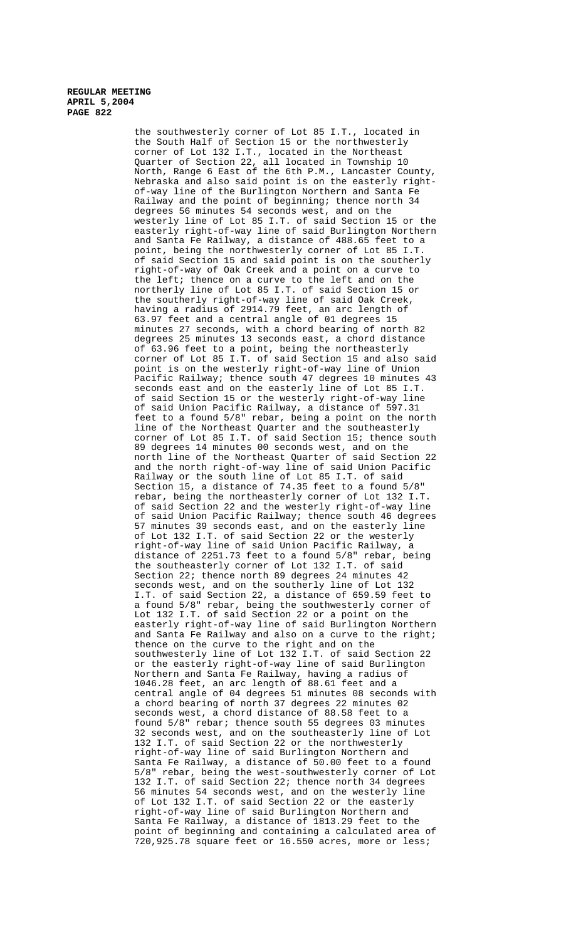the southwesterly corner of Lot 85 I.T., located in the South Half of Section 15 or the northwesterly corner of Lot 132 I.T., located in the Northeast Quarter of Section 22, all located in Township 10 North, Range 6 East of the 6th P.M., Lancaster County, Nebraska and also said point is on the easterly rightof-way line of the Burlington Northern and Santa Fe Railway and the point of beginning; thence north 34 degrees 56 minutes 54 seconds west, and on the westerly line of Lot 85 I.T. of said Section 15 or the easterly right-of-way line of said Burlington Northern and Santa Fe Railway, a distance of 488.65 feet to a point, being the northwesterly corner of Lot 85 I.T. of said Section 15 and said point is on the southerly right-of-way of Oak Creek and a point on a curve to the left; thence on a curve to the left and on the northerly line of Lot 85 I.T. of said Section 15 or the southerly right-of-way line of said Oak Creek, having a radius of 2914.79 feet, an arc length of 63.97 feet and a central angle of 01 degrees 15 minutes 27 seconds, with a chord bearing of north 82 degrees 25 minutes 13 seconds east, a chord distance of 63.96 feet to a point, being the northeasterly corner of Lot 85 I.T. of said Section 15 and also said point is on the westerly right-of-way line of Union Pacific Railway; thence south 47 degrees 10 minutes 43 seconds east and on the easterly line of Lot 85 I.T. of said Section 15 or the westerly right-of-way line of said Union Pacific Railway, a distance of 597.31 feet to a found 5/8" rebar, being a point on the north line of the Northeast Quarter and the southeasterly corner of Lot 85 I.T. of said Section 15; thence south 89 degrees 14 minutes 00 seconds west, and on the north line of the Northeast Quarter of said Section 22 and the north right-of-way line of said Union Pacific Railway or the south line of Lot 85 I.T. of said Section 15, a distance of 74.35 feet to a found 5/8" rebar, being the northeasterly corner of Lot 132 I.T. of said Section 22 and the westerly right-of-way line of said Union Pacific Railway; thence south 46 degrees 57 minutes 39 seconds east, and on the easterly line of Lot 132 I.T. of said Section 22 or the westerly right-of-way line of said Union Pacific Railway, a distance of 2251.73 feet to a found 5/8" rebar, being the southeasterly corner of Lot 132 I.T. of said Section 22; thence north 89 degrees 24 minutes 42 seconds west, and on the southerly line of Lot 132 I.T. of said Section 22, a distance of 659.59 feet to a found 5/8" rebar, being the southwesterly corner of Lot 132 I.T. of said Section 22 or a point on the easterly right-of-way line of said Burlington Northern and Santa Fe Railway and also on a curve to the right; thence on the curve to the right and on the southwesterly line of Lot 132 I.T. of said Section 22 or the easterly right-of-way line of said Burlington Northern and Santa Fe Railway, having a radius of 1046.28 feet, an arc length of 88.61 feet and a central angle of 04 degrees 51 minutes 08 seconds with a chord bearing of north 37 degrees 22 minutes 02 seconds west, a chord distance of 88.58 feet to a found 5/8" rebar; thence south 55 degrees 03 minutes 32 seconds west, and on the southeasterly line of Lot 132 I.T. of said Section 22 or the northwesterly right-of-way line of said Burlington Northern and Santa Fe Railway, a distance of 50.00 feet to a found 5/8" rebar, being the west-southwesterly corner of Lot 132 I.T. of said Section 22; thence north 34 degrees 56 minutes 54 seconds west, and on the westerly line of Lot 132 I.T. of said Section 22 or the easterly right-of-way line of said Burlington Northern and Santa Fe Railway, a distance of 1813.29 feet to the point of beginning and containing a calculated area of 720,925.78 square feet or 16.550 acres, more or less;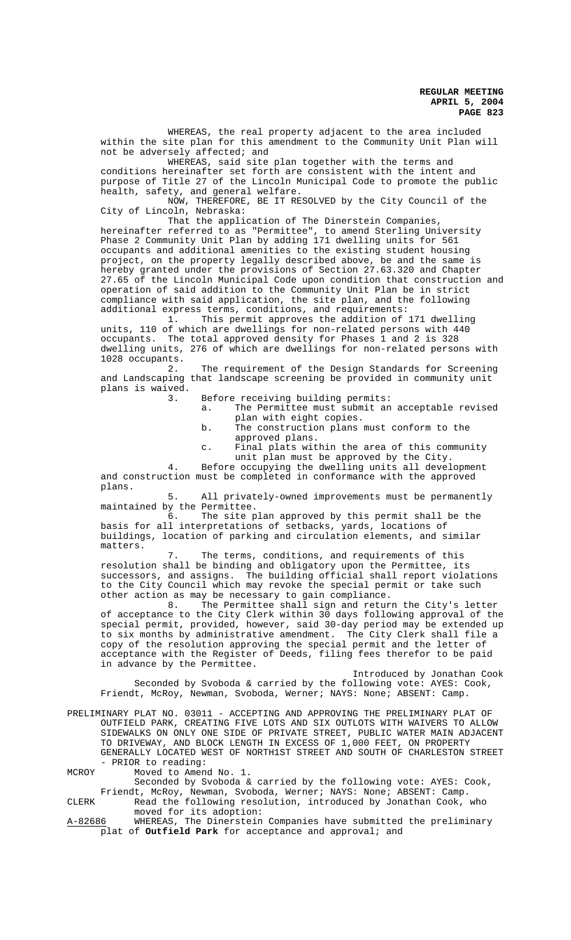WHEREAS, the real property adjacent to the area included within the site plan for this amendment to the Community Unit Plan will not be adversely affected; and

WHEREAS, said site plan together with the terms and conditions hereinafter set forth are consistent with the intent and purpose of Title 27 of the Lincoln Municipal Code to promote the public health, safety, and general welfare.

NOW, THEREFORE, BE IT RESOLVED by the City Council of the City of Lincoln, Nebraska:

That the application of The Dinerstein Companies, hereinafter referred to as "Permittee", to amend Sterling University Phase 2 Community Unit Plan by adding 171 dwelling units for 561 occupants and additional amenities to the existing student housing project, on the property legally described above, be and the same is hereby granted under the provisions of Section 27.63.320 and Chapter 27.65 of the Lincoln Municipal Code upon condition that construction and operation of said addition to the Community Unit Plan be in strict compliance with said application, the site plan, and the following additional express terms, conditions, and requirements:<br>1. This permit approves the addition of

This permit approves the addition of 171 dwelling units, 110 of which are dwellings for non-related persons with 440 occupants. The total approved density for Phases 1 and 2 is 328 dwelling units, 276 of which are dwellings for non-related persons with 1028 occupants.<br>2.

The requirement of the Design Standards for Screening and Landscaping that landscape screening be provided in community unit plans is waived.

3. Before receiving building permits:

- a. The Permittee must submit an acceptable revised plan with eight copies.
- b. The construction plans must conform to the approved plans.
- c. Final plats within the area of this community unit plan must be approved by the City.

4. Before occupying the dwelling units all development and construction must be completed in conformance with the approved plans.

5. All privately-owned improvements must be permanently

maintained by the Permittee.<br>6. The site p The site plan approved by this permit shall be the basis for all interpretations of setbacks, yards, locations of buildings, location of parking and circulation elements, and similar matters.

7. The terms, conditions, and requirements of this resolution shall be binding and obligatory upon the Permittee, its successors, and assigns. The building official shall report violations to the City Council which may revoke the special permit or take such other action as may be necessary to gain compliance.<br>8. The Permittee shall sign and retur.

The Permittee shall sign and return the City's letter of acceptance to the City Clerk within 30 days following approval of the special permit, provided, however, said 30-day period may be extended up to six months by administrative amendment. The City Clerk shall file a copy of the resolution approving the special permit and the letter of acceptance with the Register of Deeds, filing fees therefor to be paid in advance by the Permittee.

Introduced by Jonathan Cook Seconded by Svoboda & carried by the following vote: AYES: Cook, Friendt, McRoy, Newman, Svoboda, Werner; NAYS: None; ABSENT: Camp.

PRELIMINARY PLAT NO. 03011 - ACCEPTING AND APPROVING THE PRELIMINARY PLAT OF OUTFIELD PARK, CREATING FIVE LOTS AND SIX OUTLOTS WITH WAIVERS TO ALLOW SIDEWALKS ON ONLY ONE SIDE OF PRIVATE STREET, PUBLIC WATER MAIN ADJACENT TO DRIVEWAY, AND BLOCK LENGTH IN EXCESS OF 1,000 FEET, ON PROPERTY GENERALLY LOCATED WEST OF NORTH1ST STREET AND SOUTH OF CHARLESTON STREET - PRIOR to reading:

MCROY Moved to Amend No. 1.

Seconded by Svoboda & carried by the following vote: AYES: Cook, Friendt, McRoy, Newman, Svoboda, Werner; NAYS: None; ABSENT: Camp. CLERK Read the following resolution, introduced by Jonathan Cook, who

moved for its adoption: A-82686 WHEREAS, The Dinerstein Companies have submitted the preliminary plat of **Outfield Park** for acceptance and approval; and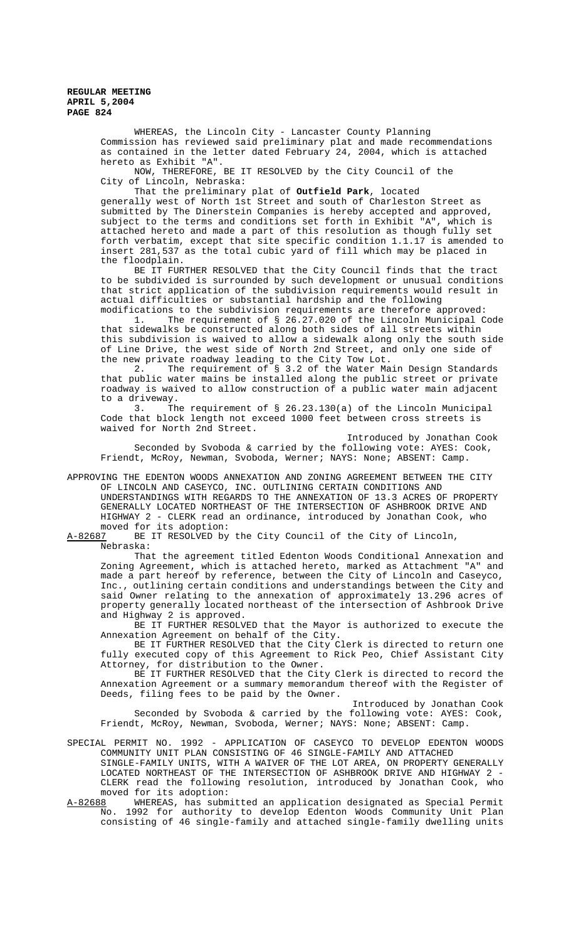> WHEREAS, the Lincoln City - Lancaster County Planning Commission has reviewed said preliminary plat and made recommendations as contained in the letter dated February 24, 2004, which is attached hereto as Exhibit "A".

NOW, THEREFORE, BE IT RESOLVED by the City Council of the City of Lincoln, Nebraska:

That the preliminary plat of **Outfield Park**, located

generally west of North 1st Street and south of Charleston Street as submitted by The Dinerstein Companies is hereby accepted and approved, subject to the terms and conditions set forth in Exhibit "A", which is attached hereto and made a part of this resolution as though fully set forth verbatim, except that site specific condition 1.1.17 is amended to insert 281,537 as the total cubic yard of fill which may be placed in the floodplain.

BE IT FURTHER RESOLVED that the City Council finds that the tract to be subdivided is surrounded by such development or unusual conditions that strict application of the subdivision requirements would result in actual difficulties or substantial hardship and the following modifications to the subdivision requirements are therefore approved:

1. The requirement of § 26.27.020 of the Lincoln Municipal Code that sidewalks be constructed along both sides of all streets within this subdivision is waived to allow a sidewalk along only the south side of Line Drive, the west side of North 2nd Street, and only one side of the new private roadway leading to the City Tow Lot.

2. The requirement of § 3.2 of the Water Main Design Standards that public water mains be installed along the public street or private roadway is waived to allow construction of a public water main adjacent to a driveway.

3. The requirement of § 26.23.130(a) of the Lincoln Municipal Code that block length not exceed 1000 feet between cross streets is waived for North 2nd Street.

Introduced by Jonathan Cook Seconded by Svoboda & carried by the following vote: AYES: Cook, Friendt, McRoy, Newman, Svoboda, Werner; NAYS: None; ABSENT: Camp.

APPROVING THE EDENTON WOODS ANNEXATION AND ZONING AGREEMENT BETWEEN THE CITY OF LINCOLN AND CASEYCO, INC. OUTLINING CERTAIN CONDITIONS AND UNDERSTANDINGS WITH REGARDS TO THE ANNEXATION OF 13.3 ACRES OF PROPERTY GENERALLY LOCATED NORTHEAST OF THE INTERSECTION OF ASHBROOK DRIVE AND HIGHWAY 2 - CLERK read an ordinance, introduced by Jonathan Cook, who

moved for its adoption:<br>A-82687 BE IT RESOLVED by BE IT RESOLVED by the City Council of the City of Lincoln, Nebraska:

That the agreement titled Edenton Woods Conditional Annexation and Zoning Agreement, which is attached hereto, marked as Attachment "A" and made a part hereof by reference, between the City of Lincoln and Caseyco, Inc., outlining certain conditions and understandings between the City and said Owner relating to the annexation of approximately 13.296 acres of property generally located northeast of the intersection of Ashbrook Drive and Highway 2 is approved.

BE IT FURTHER RESOLVED that the Mayor is authorized to execute the Annexation Agreement on behalf of the City.

BE IT FURTHER RESOLVED that the City Clerk is directed to return one fully executed copy of this Agreement to Rick Peo, Chief Assistant City Attorney, for distribution to the Owner.

BE IT FURTHER RESOLVED that the City Clerk is directed to record the Annexation Agreement or a summary memorandum thereof with the Register of Deeds, filing fees to be paid by the Owner.

Introduced by Jonathan Cook

Seconded by Svoboda & carried by the following vote: AYES: Cook, Friendt, McRoy, Newman, Svoboda, Werner; NAYS: None; ABSENT: Camp.

SPECIAL PERMIT NO. 1992 - APPLICATION OF CASEYCO TO DEVELOP EDENTON WOODS COMMUNITY UNIT PLAN CONSISTING OF 46 SINGLE-FAMILY AND ATTACHED

SINGLE-FAMILY UNITS, WITH A WAIVER OF THE LOT AREA, ON PROPERTY GENERALLY LOCATED NORTHEAST OF THE INTERSECTION OF ASHBROOK DRIVE AND HIGHWAY 2 - CLERK read the following resolution, introduced by Jonathan Cook, who moved for its adoption:<br>A-82688 WHEREAS, has subm

A-82688 WHEREAS, has submitted an application designated as Special Permit No. 1992 for authority to develop Edenton Woods Community Unit Plan consisting of 46 single-family and attached single-family dwelling units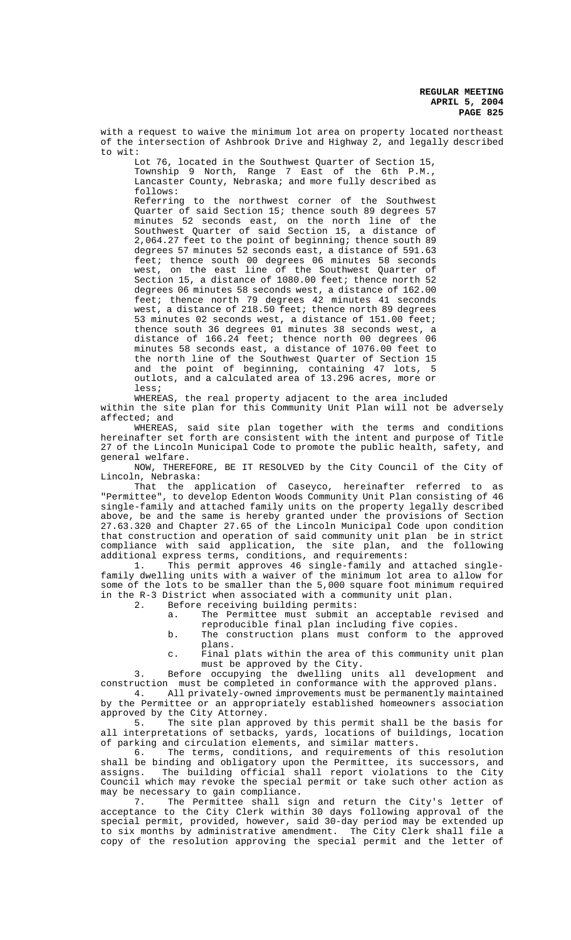with a request to waive the minimum lot area on property located northeast of the intersection of Ashbrook Drive and Highway 2, and legally described to wit:

Lot 76, located in the Southwest Quarter of Section 15, Township 9 North, Range 7 East of the 6th P.M., Lancaster County, Nebraska; and more fully described as follows:

Referring to the northwest corner of the Southwest Quarter of said Section 15; thence south 89 degrees 57 minutes 52 seconds east, on the north line of the Southwest Quarter of said Section 15, a distance of 2,064.27 feet to the point of beginning; thence south 89 degrees 57 minutes 52 seconds east, a distance of 591.63 feet; thence south 00 degrees 06 minutes 58 seconds west, on the east line of the Southwest Quarter of Section 15, a distance of 1080.00 feet; thence north 52 degrees 06 minutes 58 seconds west, a distance of 162.00 feet; thence north 79 degrees 42 minutes 41 seconds west, a distance of 218.50 feet; thence north 89 degrees 53 minutes 02 seconds west, a distance of 151.00 feet; thence south 36 degrees 01 minutes 38 seconds west, a distance of 166.24 feet; thence north 00 degrees 06 minutes 58 seconds east, a distance of 1076.00 feet to the north line of the Southwest Quarter of Section 15 and the point of beginning, containing 47 lots, 5 outlots, and a calculated area of 13.296 acres, more or less;

WHEREAS, the real property adjacent to the area included within the site plan for this Community Unit Plan will not be adversely affected; and

WHEREAS, said site plan together with the terms and conditions hereinafter set forth are consistent with the intent and purpose of Title 27 of the Lincoln Municipal Code to promote the public health, safety, and general welfare.

NOW, THEREFORE, BE IT RESOLVED by the City Council of the City of Lincoln, Nebraska:

That the application of Caseyco, hereinafter referred to as "Permittee", to develop Edenton Woods Community Unit Plan consisting of 46 single-family and attached family units on the property legally described above, be and the same is hereby granted under the provisions of Section 27.63.320 and Chapter 27.65 of the Lincoln Municipal Code upon condition that construction and operation of said community unit plan be in strict compliance with said application, the site plan, and the following additional express terms, conditions, and requirements:

1. This permit approves 46 single-family and attached singlefamily dwelling units with a waiver of the minimum lot area to allow for some of the lots to be smaller than the 5,000 square foot minimum required in the R-3 District when associated with a community unit plan.<br>2. Before receiving building permits:

Before receiving building permits:

- a. The Permittee must submit an acceptable revised and reproducible final plan including five copies.
- b. The construction plans must conform to the approved plans.
- c. Final plats within the area of this community unit plan must be approved by the City.

3. Before occupying the dwelling units all development and construction must be completed in conformance with the approved plans.

4. All privately-owned improvements must be permanently maintained by the Permittee or an appropriately established homeowners association approved by the City Attorney.

5. The site plan approved by this permit shall be the basis for all interpretations of setbacks, yards, locations of buildings, location of parking and circulation elements, and similar matters.<br>6. The terms, conditions, and requirements of t

The terms, conditions, and requirements of this resolution shall be binding and obligatory upon the Permittee, its successors, and assigns. The building official shall report violations to the City Council which may revoke the special permit or take such other action as may be necessary to gain compliance.

7. The Permittee shall sign and return the City's letter of acceptance to the City Clerk within 30 days following approval of the special permit, provided, however, said 30-day period may be extended up to six months by administrative amendment. The City Clerk shall file a copy of the resolution approving the special permit and the letter of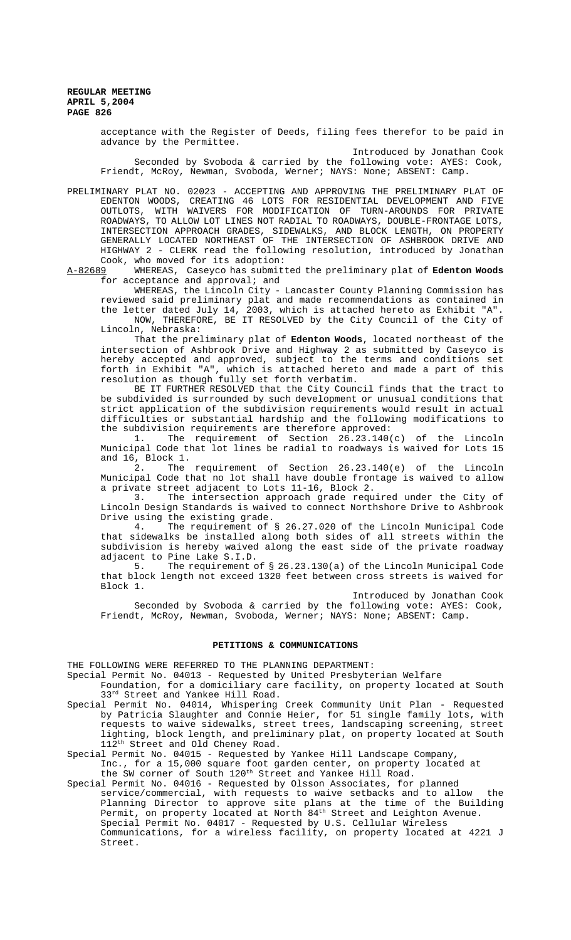> acceptance with the Register of Deeds, filing fees therefor to be paid in advance by the Permittee.

> Introduced by Jonathan Cook Seconded by Svoboda & carried by the following vote: AYES: Cook, Friendt, McRoy, Newman, Svoboda, Werner; NAYS: None; ABSENT: Camp.

PRELIMINARY PLAT NO. 02023 - ACCEPTING AND APPROVING THE PRELIMINARY PLAT OF EDENTON WOODS, CREATING 46 LOTS FOR RESIDENTIAL DEVELOPMENT AND FIVE OUTLOTS, WITH WAIVERS FOR MODIFICATION OF TURN-AROUNDS FOR PRIVATE ROADWAYS, TO ALLOW LOT LINES NOT RADIAL TO ROADWAYS, DOUBLE-FRONTAGE LOTS, INTERSECTION APPROACH GRADES, SIDEWALKS, AND BLOCK LENGTH, ON PROPERTY GENERALLY LOCATED NORTHEAST OF THE INTERSECTION OF ASHBROOK DRIVE AND HIGHWAY 2 - CLERK read the following resolution, introduced by Jonathan

Cook, who moved for its adoption:<br>A-82689 WHEREAS, Caseyco has submit WHEREAS, Caseyco has submitted the preliminary plat of Edenton Woods for acceptance and approval; and

WHEREAS, the Lincoln City - Lancaster County Planning Commission has reviewed said preliminary plat and made recommendations as contained in the letter dated July 14, 2003, which is attached hereto as Exhibit "A". NOW, THEREFORE, BE IT RESOLVED by the City Council of the City of

Lincoln, Nebraska:

That the preliminary plat of **Edenton Woods**, located northeast of the intersection of Ashbrook Drive and Highway 2 as submitted by Caseyco is hereby accepted and approved, subject to the terms and conditions set forth in Exhibit "A", which is attached hereto and made a part of this resolution as though fully set forth verbatim.

BE IT FURTHER RESOLVED that the City Council finds that the tract to be subdivided is surrounded by such development or unusual conditions that strict application of the subdivision requirements would result in actual difficulties or substantial hardship and the following modifications to the subdivision requirements are therefore approved:<br>1. The requirement of Section 26.23.1400

The requirement of Section  $26.23.140(c)$  of the Lincoln Municipal Code that lot lines be radial to roadways is waived for Lots 15 and 16, Block 1.

2. The requirement of Section 26.23.140(e) of the Lincoln Municipal Code that no lot shall have double frontage is waived to allow a private street adjacent to Lots 11-16, Block 2.

3. The intersection approach grade required under the City of Lincoln Design Standards is waived to connect Northshore Drive to Ashbrook Drive using the existing grade.

4. The requirement of § 26.27.020 of the Lincoln Municipal Code that sidewalks be installed along both sides of all streets within the subdivision is hereby waived along the east side of the private roadway adjacent to Pine Lake S.I.D.<br>5. The requirement of

The requirement of  $\S$  26.23.130(a) of the Lincoln Municipal Code that block length not exceed 1320 feet between cross streets is waived for Block 1.

Introduced by Jonathan Cook

Seconded by Svoboda & carried by the following vote: AYES: Cook, Friendt, McRoy, Newman, Svoboda, Werner; NAYS: None; ABSENT: Camp.

### **PETITIONS & COMMUNICATIONS**

THE FOLLOWING WERE REFERRED TO THE PLANNING DEPARTMENT:

Special Permit No. 04013 - Requested by United Presbyterian Welfare

Foundation, for a domiciliary care facility, on property located at South 33rd Street and Yankee Hill Road.

Special Permit No. 04014, Whispering Creek Community Unit Plan - Requested by Patricia Slaughter and Connie Heier, for 51 single family lots, with requests to waive sidewalks, street trees, landscaping screening, street lighting, block length, and preliminary plat, on property located at South 112<sup>th</sup> Street and Old Cheney Road.

Special Permit No. 04015 - Requested by Yankee Hill Landscape Company,

Inc., for a 15,000 square foot garden center, on property located at the SW corner of South 120<sup>th</sup> Street and Yankee Hill Road.

Special Permit No. 04016 - Requested by Olsson Associates, for planned service/commercial, with requests to waive setbacks and to allow the Planning Director to approve site plans at the time of the Building Permit, on property located at North 84<sup>th</sup> Street and Leighton Avenue. Special Permit No. 04017 - Requested by U.S. Cellular Wireless Communications, for a wireless facility, on property located at 4221 J Street.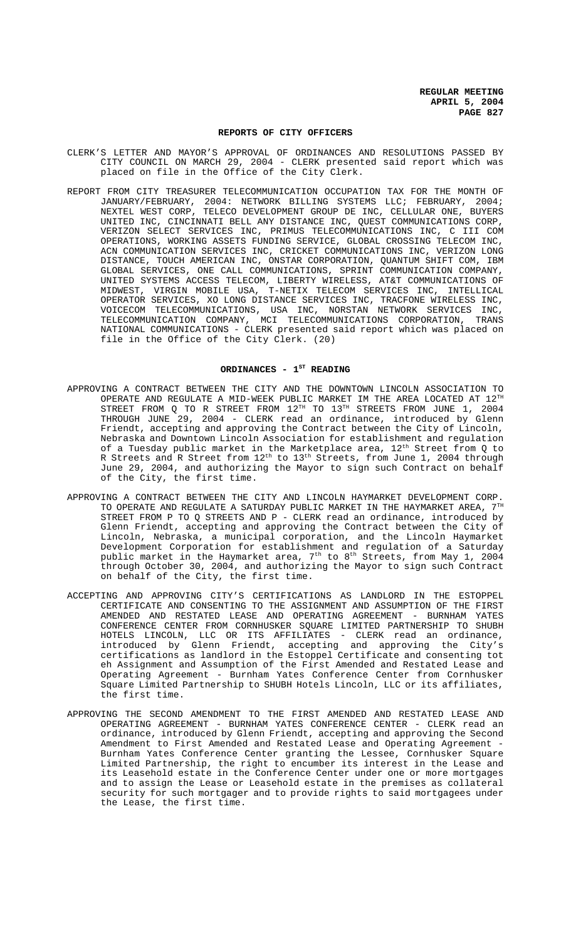#### **REPORTS OF CITY OFFICERS**

- CLERK'S LETTER AND MAYOR'S APPROVAL OF ORDINANCES AND RESOLUTIONS PASSED BY CITY COUNCIL ON MARCH 29, 2004 - CLERK presented said report which was placed on file in the Office of the City Clerk.
- REPORT FROM CITY TREASURER TELECOMMUNICATION OCCUPATION TAX FOR THE MONTH OF JANUARY/FEBRUARY, 2004: NETWORK BILLING SYSTEMS LLC; FEBRUARY, 2004; NEXTEL WEST CORP, TELECO DEVELOPMENT GROUP DE INC, CELLULAR ONE, BUYERS UNITED INC, CINCINNATI BELL ANY DISTANCE INC, QUEST COMMUNICATIONS CORP, VERIZON SELECT SERVICES INC, PRIMUS TELECOMMUNICATIONS INC, C III COM OPERATIONS, WORKING ASSETS FUNDING SERVICE, GLOBAL CROSSING TELECOM INC, ACN COMMUNICATION SERVICES INC, CRICKET COMMUNICATIONS INC, VERIZON LONG DISTANCE, TOUCH AMERICAN INC, ONSTAR CORPORATION, QUANTUM SHIFT COM, IBM GLOBAL SERVICES, ONE CALL COMMUNICATIONS, SPRINT COMMUNICATION COMPANY, UNITED SYSTEMS ACCESS TELECOM, LIBERTY WIRELESS, AT&T COMMUNICATIONS OF MIDWEST, VIRGIN MOBILE USA, T-NETIX TELECOM SERVICES INC, INTELLICAL OPERATOR SERVICES, XO LONG DISTANCE SERVICES INC, TRACFONE WIRELESS INC, VOICECOM TELECOMMUNICATIONS, USA INC, NORSTAN NETWORK SERVICES INC, TELECOMMUNICATION COMPANY, MCI TELECOMMUNICATIONS CORPORATION, TRANS NATIONAL COMMUNICATIONS - CLERK presented said report which was placed on file in the Office of the City Clerk. (20)

#### ORDINANCES - 1<sup>st</sup> READING

- APPROVING A CONTRACT BETWEEN THE CITY AND THE DOWNTOWN LINCOLN ASSOCIATION TO OPERATE AND REGULATE A MID-WEEK PUBLIC MARKET IM THE AREA LOCATED AT  $12^{\text{\tiny{TH}}}$ STREET FROM Q TO R STREET FROM  $12^{TH}$  TO  $13^{TH}$  STREETS FROM JUNE 1, 2004 THROUGH JUNE 29, 2004 - CLERK read an ordinance, introduced by Glenn Friendt, accepting and approving the Contract between the City of Lincoln, Nebraska and Downtown Lincoln Association for establishment and regulation of a Tuesday public market in the Marketplace area, 12<sup>th</sup> Street from Q to R Streets and R Street from 12th to 13th Streets, from June 1, 2004 through June 29, 2004, and authorizing the Mayor to sign such Contract on behalf of the City, the first time.
- APPROVING A CONTRACT BETWEEN THE CITY AND LINCOLN HAYMARKET DEVELOPMENT CORP. TO OPERATE AND REGULATE A SATURDAY PUBLIC MARKET IN THE HAYMARKET AREA,  $7^{\text{th}}$ STREET FROM P TO Q STREETS AND P - CLERK read an ordinance, introduced by Glenn Friendt, accepting and approving the Contract between the City of Lincoln, Nebraska, a municipal corporation, and the Lincoln Haymarket Development Corporation for establishment and regulation of a Saturday public market in the Haymarket area,  $7^{\rm th}$  to  $8^{\rm th}$  Streets, from May 1, 2004 through October 30, 2004, and authorizing the Mayor to sign such Contract on behalf of the City, the first time.
- ACCEPTING AND APPROVING CITY'S CERTIFICATIONS AS LANDLORD IN THE ESTOPPEL CERTIFICATE AND CONSENTING TO THE ASSIGNMENT AND ASSUMPTION OF THE FIRST AMENDED AND RESTATED LEASE AND OPERATING AGREEMENT - BURNHAM YATES CONFERENCE CENTER FROM CORNHUSKER SQUARE LIMITED PARTNERSHIP TO SHUBH HOTELS LINCOLN, LLC OR ITS AFFILIATES - CLERK read an ordinance, introduced by Glenn Friendt, accepting and approving the City's certifications as landlord in the Estoppel Certificate and consenting tot eh Assignment and Assumption of the First Amended and Restated Lease and Operating Agreement - Burnham Yates Conference Center from Cornhusker Square Limited Partnership to SHUBH Hotels Lincoln, LLC or its affiliates, the first time.
- APPROVING THE SECOND AMENDMENT TO THE FIRST AMENDED AND RESTATED LEASE AND OPERATING AGREEMENT - BURNHAM YATES CONFERENCE CENTER - CLERK read an ordinance, introduced by Glenn Friendt, accepting and approving the Second Amendment to First Amended and Restated Lease and Operating Agreement - Burnham Yates Conference Center granting the Lessee, Cornhusker Square Limited Partnership, the right to encumber its interest in the Lease and its Leasehold estate in the Conference Center under one or more mortgages and to assign the Lease or Leasehold estate in the premises as collateral security for such mortgager and to provide rights to said mortgagees under the Lease, the first time.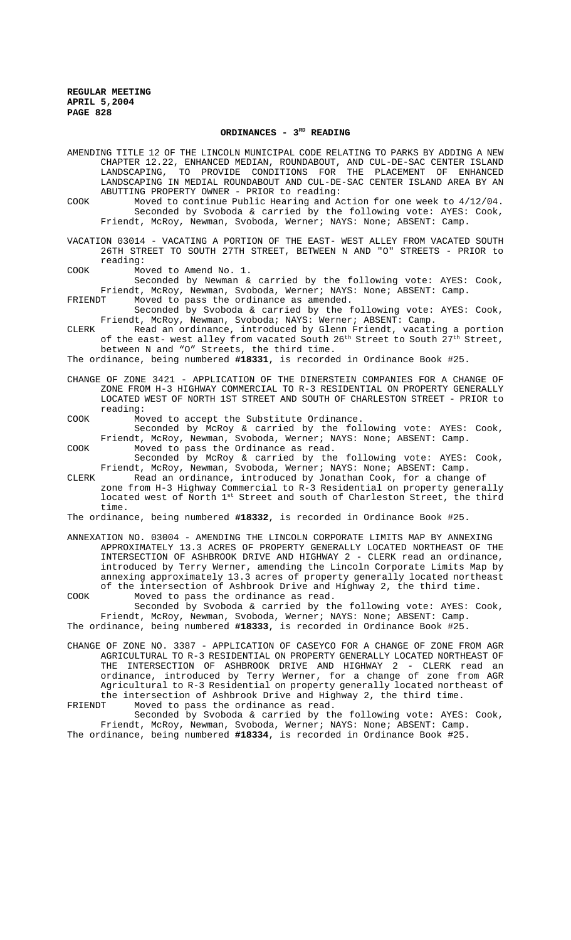## ORDINANCES - 3<sup>RD</sup> READING

AMENDING TITLE 12 OF THE LINCOLN MUNICIPAL CODE RELATING TO PARKS BY ADDING A NEW CHAPTER 12.22, ENHANCED MEDIAN, ROUNDABOUT, AND CUL-DE-SAC CENTER ISLAND LANDSCAPING, TO PROVIDE CONDITIONS FOR THE PLACEMENT OF ENHANCED LANDSCAPING IN MEDIAL ROUNDABOUT AND CUL-DE-SAC CENTER ISLAND AREA BY AN ABUTTING PROPERTY OWNER - PRIOR to reading: COOK Moved to continue Public Hearing and Action for one week to 4/12/04. Seconded by Svoboda & carried by the following vote: AYES: Cook, Friendt, McRoy, Newman, Svoboda, Werner; NAYS: None; ABSENT: Camp. VACATION 03014 - VACATING A PORTION OF THE EAST- WEST ALLEY FROM VACATED SOUTH 26TH STREET TO SOUTH 27TH STREET, BETWEEN N AND "O" STREETS - PRIOR to reading: COOK Moved to Amend No. 1. Seconded by Newman & carried by the following vote: AYES: Cook, Friendt, McRoy, Newman, Svoboda, Werner; NAYS: None; ABSENT: Camp.<br>FRIENDT Moved to pass the ordinance as amended. Moved to pass the ordinance as amended. Seconded by Svoboda & carried by the following vote: AYES: Cook, Friendt, McRoy, Newman, Svoboda; NAYS: Werner; ABSENT: Camp. CLERK Read an ordinance, introduced by Glenn Friendt, vacating a portion of the east- west alley from vacated South  $26^{th}$  Street to South  $27^{th}$  Street, between N and "O" Streets, the third time. The ordinance, being numbered **#18331**, is recorded in Ordinance Book #25. CHANGE OF ZONE 3421 - APPLICATION OF THE DINERSTEIN COMPANIES FOR A CHANGE OF ZONE FROM H-3 HIGHWAY COMMERCIAL TO R-3 RESIDENTIAL ON PROPERTY GENERALLY LOCATED WEST OF NORTH 1ST STREET AND SOUTH OF CHARLESTON STREET - PRIOR to reading: COOK Moved to accept the Substitute Ordinance. Seconded by McRoy & carried by the following vote: AYES: Cook, Friendt, McRoy, Newman, Svoboda, Werner; NAYS: None; ABSENT: Camp. COOK Moved to pass the Ordinance as read. Seconded by McRoy & carried by the following vote: AYES: Cook, Friendt, McRoy, Newman, Svoboda, Werner; NAYS: None; ABSENT: Camp. CLERK Read an ordinance, introduced by Jonathan Cook, for a change of zone from H-3 Highway Commercial to R-3 Residential on property generally located west of North 1st Street and south of Charleston Street, the third time. The ordinance, being numbered **#18332**, is recorded in Ordinance Book #25. ANNEXATION NO. 03004 - AMENDING THE LINCOLN CORPORATE LIMITS MAP BY ANNEXING APPROXIMATELY 13.3 ACRES OF PROPERTY GENERALLY LOCATED NORTHEAST OF THE INTERSECTION OF ASHBROOK DRIVE AND HIGHWAY 2 - CLERK read an ordinance, introduced by Terry Werner, amending the Lincoln Corporate Limits Map by

annexing approximately 13.3 acres of property generally located northeast of the intersection of Ashbrook Drive and Highway 2, the third time. COOK Moved to pass the ordinance as read. Seconded by Svoboda & carried by the following vote: AYES: Cook, Friendt, McRoy, Newman, Svoboda, Werner; NAYS: None; ABSENT: Camp.

The ordinance, being numbered **#18333**, is recorded in Ordinance Book #25.

CHANGE OF ZONE NO. 3387 - APPLICATION OF CASEYCO FOR A CHANGE OF ZONE FROM AGR AGRICULTURAL TO R-3 RESIDENTIAL ON PROPERTY GENERALLY LOCATED NORTHEAST OF THE INTERSECTION OF ASHBROOK DRIVE AND HIGHWAY 2 - CLERK read an ordinance, introduced by Terry Werner, for a change of zone from AGR Agricultural to R-3 Residential on property generally located northeast of the intersection of Ashbrook Drive and Highway 2, the third time. FRIENDT Moved to pass the ordinance as read.

Seconded by Svoboda & carried by the following vote: AYES: Cook, Friendt, McRoy, Newman, Svoboda, Werner; NAYS: None; ABSENT: Camp. The ordinance, being numbered **#18334**, is recorded in Ordinance Book #25.